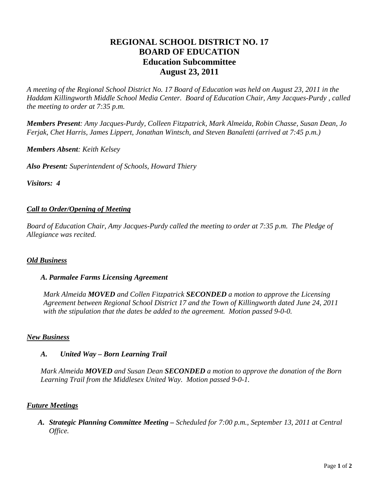# **REGIONAL SCHOOL DISTRICT NO. 17 BOARD OF EDUCATION Education Subcommittee August 23, 2011**

*A meeting of the Regional School District No. 17 Board of Education was held on August 23, 2011 in the Haddam Killingworth Middle School Media Center. Board of Education Chair, Amy Jacques-Purdy , called the meeting to order at 7:35 p.m.* 

*Members Present: Amy Jacques-Purdy, Colleen Fitzpatrick, Mark Almeida, Robin Chasse, Susan Dean, Jo Ferjak, Chet Harris, James Lippert, Jonathan Wintsch, and Steven Banaletti (arrived at 7:45 p.m.)* 

*Members Absent: Keith Kelsey* 

*Also Present: Superintendent of Schools, Howard Thiery* 

*Visitors: 4*

#### *Call to Order/Opening of Meeting*

*Board of Education Chair, Amy Jacques-Purdy called the meeting to order at 7:35 p.m. The Pledge of Allegiance was recited.* 

#### *Old Business*

#### *A. Parmalee Farms Licensing Agreement*

*Mark Almeida MOVED and Collen Fitzpatrick SECONDED a motion to approve the Licensing Agreement between Regional School District 17 and the Town of Killingworth dated June 24, 2011 with the stipulation that the dates be added to the agreement. Motion passed 9-0-0.* 

#### *New Business*

#### *A. United Way – Born Learning Trail*

*Mark Almeida MOVED and Susan Dean SECONDED a motion to approve the donation of the Born Learning Trail from the Middlesex United Way. Motion passed 9-0-1.* 

### *Future Meetings*

*A. Strategic Planning Committee Meeting – Scheduled for 7:00 p.m., September 13, 2011 at Central Office.*